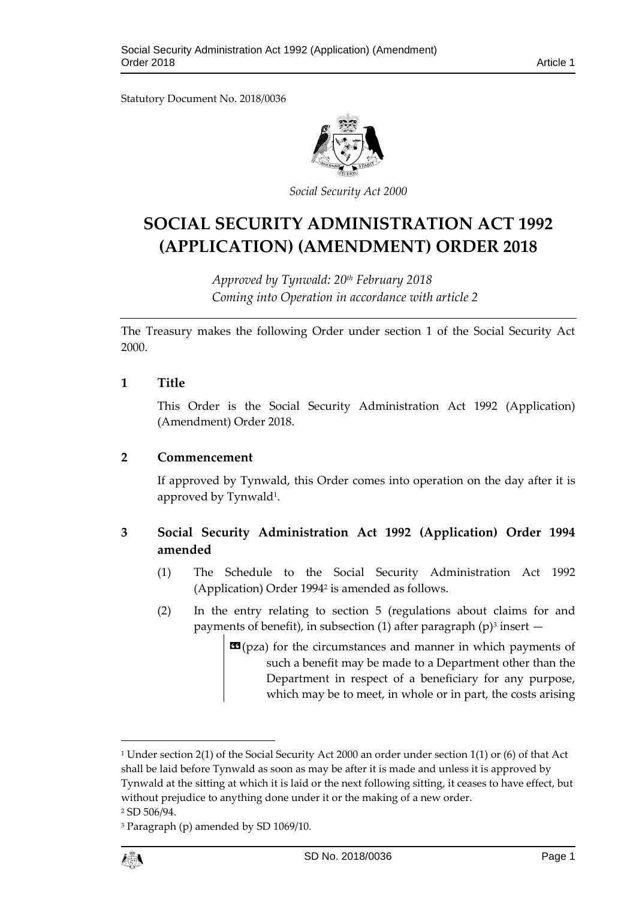Statutory Document No. 2018/0036



*Social Security Act 2000*

# **SOCIAL SECURITY ADMINISTRATION ACT 1992 (APPLICATION) (AMENDMENT) ORDER 2018**

*Approved by Tynwald: 20th February 2018 Coming into Operation in accordance with article 2*

The Treasury makes the following Order under section 1 of the Social Security Act 2000.

## **1 Title**

This Order is the Social Security Administration Act 1992 (Application) (Amendment) Order 2018.

#### **2 Commencement**

If approved by Tynwald, this Order comes into operation on the day after it is approved by Tynwald<sup>1</sup>.

# **3 Social Security Administration Act 1992 (Application) Order 1994 amended**

- (1) The Schedule to the Social Security Administration Act 1992 (Application) Order 1994<sup>2</sup> is amended as follows.
- (2) In the entry relating to section 5 (regulations about claims for and payments of benefit), in subsection (1) after paragraph (p)<sup>3</sup> insert  $-$ 
	- **E9**(pza) for the circumstances and manner in which payments of such a benefit may be made to a Department other than the Department in respect of a beneficiary for any purpose, which may be to meet, in whole or in part, the costs arising

<sup>3</sup> Paragraph (p) amended by SD 1069/10.



 $\overline{a}$ 

<sup>1</sup> Under section 2(1) of the Social Security Act 2000 an order under section 1(1) or (6) of that Act shall be laid before Tynwald as soon as may be after it is made and unless it is approved by Tynwald at the sitting at which it is laid or the next following sitting, it ceases to have effect, but without prejudice to anything done under it or the making of a new order.

<sup>2</sup> SD 506/94.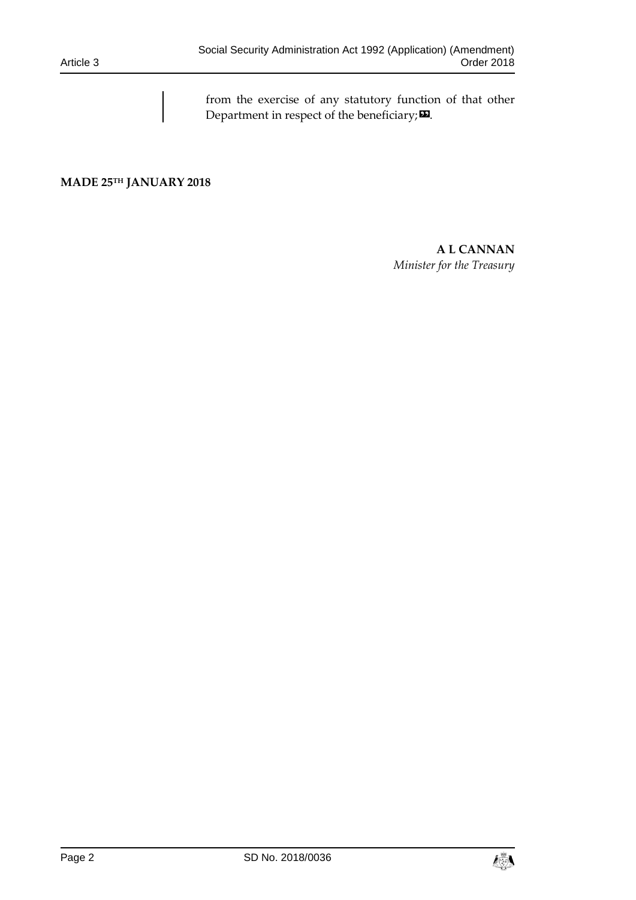from the exercise of any statutory function of that other Department in respect of the beneficiary; $\boldsymbol{\mathsf{\Xi}}$ .

**MADE 25TH JANUARY 2018**

## **A L CANNAN** *Minister for the Treasury*